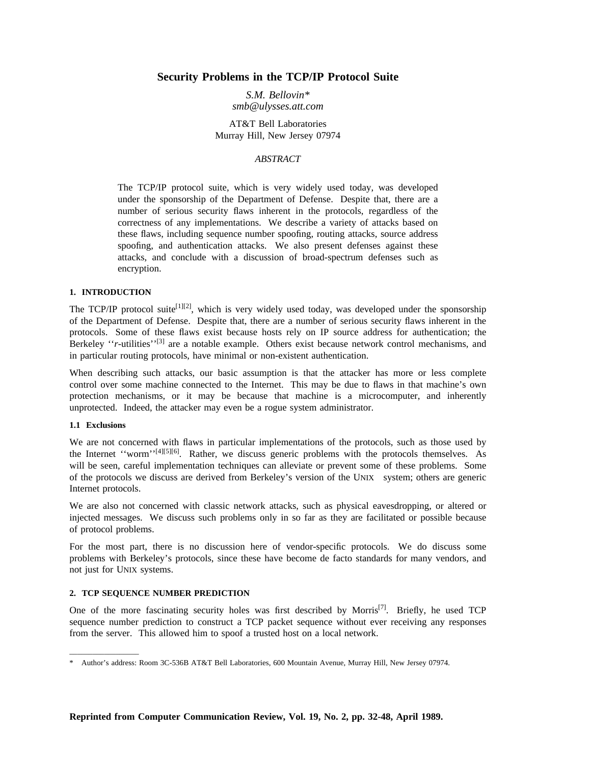# **Security Problems in the TCP/IP Protocol Suite**

*S.M. Bellovin\* smb*@*ulysses.att.com*

AT&T Bell Laboratories Murray Hill, New Jersey 07974

## *ABSTRACT*

The TCP/IP protocol suite, which is very widely used today, was developed under the sponsorship of the Department of Defense. Despite that, there are a number of serious security flaws inherent in the protocols, regardless of the correctness of any implementations. We describe a variety of attacks based on these flaws, including sequence number spoofing, routing attacks, source address spoofing, and authentication attacks. We also present defenses against these attacks, and conclude with a discussion of broad-spectrum defenses such as encryption.

## **1. INTRODUCTION**

The TCP/IP protocol suite<sup>[1][2]</sup>, which is very widely used today, was developed under the sponsorship of the Department of Defense. Despite that, there are a number of serious security flaws inherent in the protocols. Some of these flaws exist because hosts rely on IP source address for authentication; the Berkeley "*r*-utilities'<sup>13</sup> are a notable example. Others exist because network control mechanisms, and in particular routing protocols, have minimal or non-existent authentication.

When describing such attacks, our basic assumption is that the attacker has more or less complete control over some machine connected to the Internet. This may be due to flaws in that machine's own protection mechanisms, or it may be because that machine is a microcomputer, and inherently unprotected. Indeed, the attacker may even be a rogue system administrator.

### **1.1 Exclusions**

 $\_$ 

We are not concerned with flaws in particular implementations of the protocols, such as those used by the Internet ''worm''[4][5][6]. Rather, we discuss generic problems with the protocols themselves. As will be seen, careful implementation techniques can alleviate or prevent some of these problems. Some of the protocols we discuss are derived from Berkeley's version of the UNIX $^{\circledR}$  system; others are generic Internet protocols.

We are also not concerned with classic network attacks, such as physical eavesdropping, or altered or injected messages. We discuss such problems only in so far as they are facilitated or possible because of protocol problems.

For the most part, there is no discussion here of vendor-specific protocols. We do discuss some problems with Berkeley's protocols, since these have become de facto standards for many vendors, and not just for UNIX systems.

## **2. TCP SEQUENCE NUMBER PREDICTION**

One of the more fascinating security holes was first described by Morris<sup>[7]</sup>. Briefly, he used TCP sequence number prediction to construct a TCP packet sequence without ever receiving any responses from the server. This allowed him to spoof a trusted host on a local network.

<sup>\*</sup> Author's address: Room 3C-536B AT&T Bell Laboratories, 600 Mountain Avenue, Murray Hill, New Jersey 07974.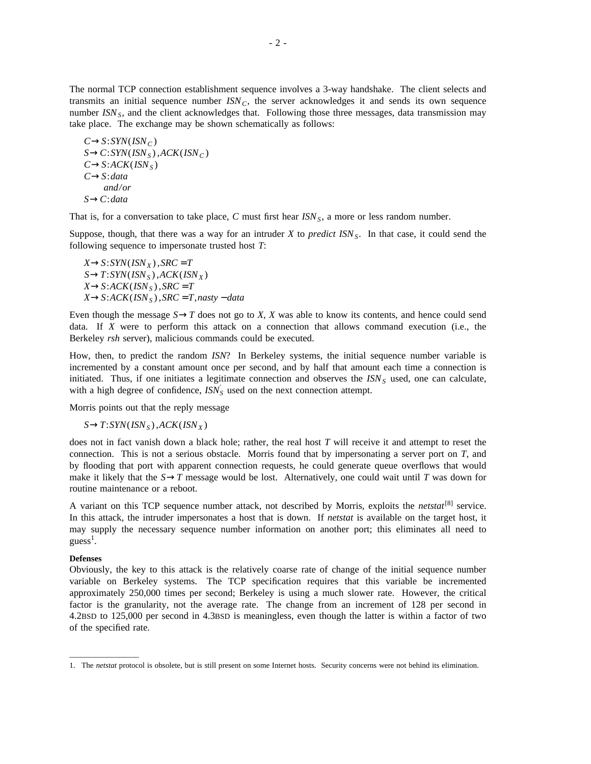The normal TCP connection establishment sequence involves a 3-way handshake. The client selects and transmits an initial sequence number  $ISN<sub>C</sub>$ , the server acknowledges it and sends its own sequence number  $ISN<sub>S</sub>$ , and the client acknowledges that. Following those three messages, data transmission may take place. The exchange may be shown schematically as follows:

 $C \rightarrow S$ :*SYN*(*ISN<sub>C</sub>*)  $S \rightarrow C$ :*SYN*(*ISN<sub>S</sub>*), *ACK*(*ISN<sub>C</sub>*)  $C \rightarrow S$ : $ACK$ (*ISN<sub>S</sub>*) *C*→*S*:*data and / or S*→*C*:*data*

That is, for a conversation to take place, *C* must first hear *ISN<sub>S</sub>*, a more or less random number.

Suppose, though, that there was a way for an intruder *X* to *predict ISN<sub>S</sub>*. In that case, it could send the following sequence to impersonate trusted host *T*:

 $X \rightarrow S$ :*SYN*(*ISN<sub>X</sub>*), *SRC* = *T*  $S \rightarrow T:SYN(ISN_S)$ ,  $ACK(ISN_X)$  $X \rightarrow S$ : $ACK$ ( $ISN_S$ ), $SRC = T$  $X \rightarrow S$ :*ACK*(*ISN<sub>S</sub>*),*SRC* = *T*,*nasty* − *data* 

Even though the message  $S \rightarrow T$  does not go to *X*, *X* was able to know its contents, and hence could send data. If *X* were to perform this attack on a connection that allows command execution (i.e., the Berkeley *rsh* server), malicious commands could be executed.

How, then, to predict the random *ISN*? In Berkeley systems, the initial sequence number variable is incremented by a constant amount once per second, and by half that amount each time a connection is initiated. Thus, if one initiates a legitimate connection and observes the  $ISN<sub>S</sub>$  used, one can calculate, with a high degree of confidence,  $ISN_S$  used on the next connection attempt.

Morris points out that the reply message

 $S \rightarrow T:SYN(ISN<sub>S</sub>)$ ,  $ACK(ISN<sub>X</sub>)$ 

does not in fact vanish down a black hole; rather, the real host *T* will receive it and attempt to reset the connection. This is not a serious obstacle. Morris found that by impersonating a server port on *T*, and by flooding that port with apparent connection requests, he could generate queue overflows that would make it likely that the  $S \rightarrow T$  message would be lost. Alternatively, one could wait until *T* was down for routine maintenance or a reboot.

A variant on this TCP sequence number attack, not described by Morris, exploits the *netstat*[8] service. In this attack, the intruder impersonates a host that is down. If *netstat* is available on the target host, it may supply the necessary sequence number information on another port; this eliminates all need to  $guess<sup>1</sup>$ .

## **Defenses**

 $\_$ 

Obviously, the key to this attack is the relatively coarse rate of change of the initial sequence number variable on Berkeley systems. The TCP specification requires that this variable be incremented approximately 250,000 times per second; Berkeley is using a much slower rate. However, the critical factor is the granularity, not the average rate. The change from an increment of 128 per second in 4.2BSD to 125,000 per second in 4.3BSD is meaningless, even though the latter is within a factor of two of the specified rate.

<sup>1.</sup> The *netstat* protocol is obsolete, but is still present on some Internet hosts. Security concerns were not behind its elimination.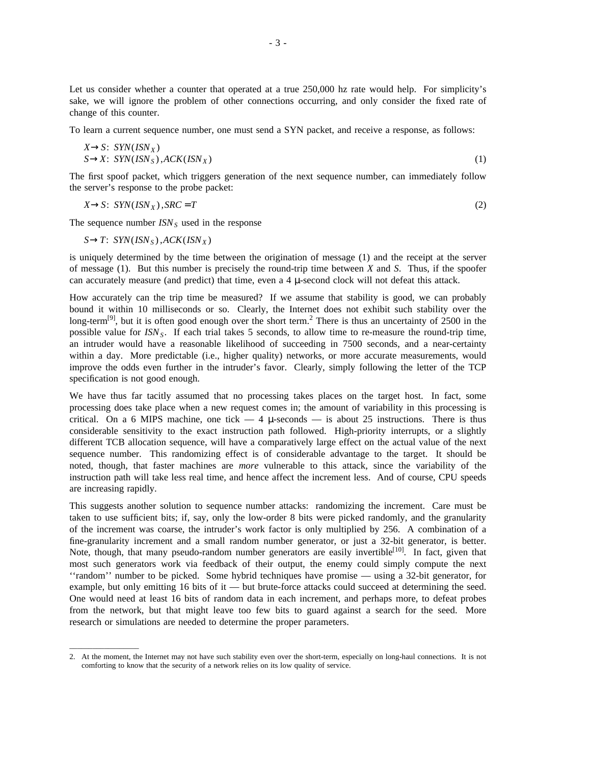Let us consider whether a counter that operated at a true 250,000 hz rate would help. For simplicity's sake, we will ignore the problem of other connections occurring, and only consider the fixed rate of change of this counter.

To learn a current sequence number, one must send a SYN packet, and receive a response, as follows:

$$
X \to S: SYN(\text{ISN}_X) S \to X: SYN(\text{ISN}_S), ACK(\text{ISN}_X)
$$
 (1)

The first spoof packet, which triggers generation of the next sequence number, can immediately follow the server's response to the probe packet:

 $X \rightarrow S$ : *SYN*(*ISN<sub>X</sub>*), *SRC* = *T* (2)

 $\_$ 

The sequence number  $ISN<sub>S</sub>$  used in the response

 $S \rightarrow T$ : *SYN*(*ISN<sub>S</sub>*), *ACK*(*ISN<sub>X</sub>*)

is uniquely determined by the time between the origination of message (1) and the receipt at the server of message (1). But this number is precisely the round-trip time between *X* and *S*. Thus, if the spoofer can accurately measure (and predict) that time, even a  $4 \mu$ -second clock will not defeat this attack.

How accurately can the trip time be measured? If we assume that stability is good, we can probably bound it within 10 milliseconds or so. Clearly, the Internet does not exhibit such stability over the long-term<sup>[9]</sup>, but it is often good enough over the short term.<sup>2</sup> There is thus an uncertainty of 2500 in the possible value for *ISN<sub>S</sub>*. If each trial takes 5 seconds, to allow time to re-measure the round-trip time, an intruder would have a reasonable likelihood of succeeding in 7500 seconds, and a near-certainty within a day. More predictable (i.e., higher quality) networks, or more accurate measurements, would improve the odds even further in the intruder's favor. Clearly, simply following the letter of the TCP specification is not good enough.

We have thus far tacitly assumed that no processing takes places on the target host. In fact, some processing does take place when a new request comes in; the amount of variability in this processing is critical. On a 6 MIPS machine, one tick  $-4 \mu$ -seconds  $-$  is about 25 instructions. There is thus considerable sensitivity to the exact instruction path followed. High-priority interrupts, or a slightly different TCB allocation sequence, will have a comparatively large effect on the actual value of the next sequence number. This randomizing effect is of considerable advantage to the target. It should be noted, though, that faster machines are *more* vulnerable to this attack, since the variability of the instruction path will take less real time, and hence affect the increment less. And of course, CPU speeds are increasing rapidly.

This suggests another solution to sequence number attacks: randomizing the increment. Care must be taken to use sufficient bits; if, say, only the low-order 8 bits were picked randomly, and the granularity of the increment was coarse, the intruder's work factor is only multiplied by 256. A combination of a fine-granularity increment and a small random number generator, or just a 32-bit generator, is better. Note, though, that many pseudo-random number generators are easily invertible<sup>[10]</sup>. In fact, given that most such generators work via feedback of their output, the enemy could simply compute the next ''random'' number to be picked. Some hybrid techniques have promise — using a 32-bit generator, for example, but only emitting 16 bits of it — but brute-force attacks could succeed at determining the seed. One would need at least 16 bits of random data in each increment, and perhaps more, to defeat probes from the network, but that might leave too few bits to guard against a search for the seed. More research or simulations are needed to determine the proper parameters.

<sup>2.</sup> At the moment, the Internet may not have such stability even over the short-term, especially on long-haul connections. It is not comforting to know that the security of a network relies on its low quality of service.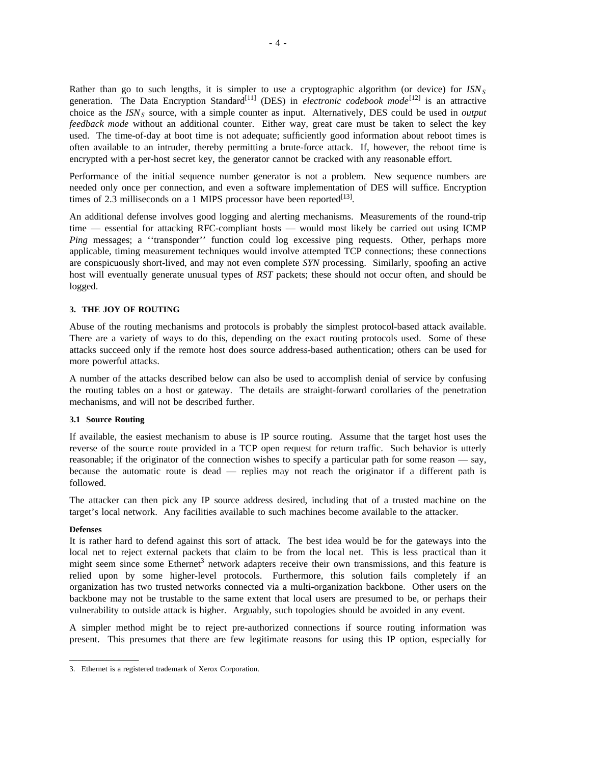Rather than go to such lengths, it is simpler to use a cryptographic algorithm (or device) for *ISN<sub>S</sub>* generation. The Data Encryption Standard<sup>[11]</sup> (DES) in *electronic codebook mode*<sup>[12]</sup> is an attractive choice as the  $ISN<sub>S</sub>$  source, with a simple counter as input. Alternatively, DES could be used in *output feedback mode* without an additional counter. Either way, great care must be taken to select the key used. The time-of-day at boot time is not adequate; sufficiently good information about reboot times is often available to an intruder, thereby permitting a brute-force attack. If, however, the reboot time is encrypted with a per-host secret key, the generator cannot be cracked with any reasonable effort.

Performance of the initial sequence number generator is not a problem. New sequence numbers are needed only once per connection, and even a software implementation of DES will suffice. Encryption times of 2.3 milliseconds on a 1 MIPS processor have been reported  $[13]$ .

An additional defense involves good logging and alerting mechanisms. Measurements of the round-trip time — essential for attacking RFC-compliant hosts — would most likely be carried out using ICMP *Ping* messages; a ''transponder'' function could log excessive ping requests. Other, perhaps more applicable, timing measurement techniques would involve attempted TCP connections; these connections are conspicuously short-lived, and may not even complete *SYN* processing. Similarly, spoofing an active host will eventually generate unusual types of *RST* packets; these should not occur often, and should be logged.

### **3. THE JOY OF ROUTING**

Abuse of the routing mechanisms and protocols is probably the simplest protocol-based attack available. There are a variety of ways to do this, depending on the exact routing protocols used. Some of these attacks succeed only if the remote host does source address-based authentication; others can be used for more powerful attacks.

A number of the attacks described below can also be used to accomplish denial of service by confusing the routing tables on a host or gateway. The details are straight-forward corollaries of the penetration mechanisms, and will not be described further.

### **3.1 Source Routing**

If available, the easiest mechanism to abuse is IP source routing. Assume that the target host uses the reverse of the source route provided in a TCP open request for return traffic. Such behavior is utterly reasonable; if the originator of the connection wishes to specify a particular path for some reason — say, because the automatic route is dead — replies may not reach the originator if a different path is followed.

The attacker can then pick any IP source address desired, including that of a trusted machine on the target's local network. Any facilities available to such machines become available to the attacker.

### **Defenses**

 $\_$ 

It is rather hard to defend against this sort of attack. The best idea would be for the gateways into the local net to reject external packets that claim to be from the local net. This is less practical than it might seem since some Ethernet<sup>3</sup> network adapters receive their own transmissions, and this feature is relied upon by some higher-level protocols. Furthermore, this solution fails completely if an organization has two trusted networks connected via a multi-organization backbone. Other users on the backbone may not be trustable to the same extent that local users are presumed to be, or perhaps their vulnerability to outside attack is higher. Arguably, such topologies should be avoided in any event.

A simpler method might be to reject pre-authorized connections if source routing information was present. This presumes that there are few legitimate reasons for using this IP option, especially for

<sup>3.</sup> Ethernet is a registered trademark of Xerox Corporation.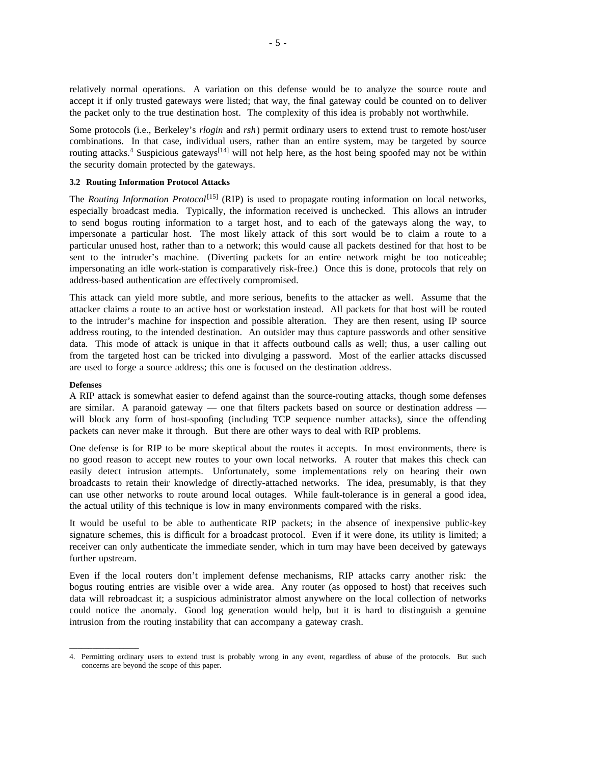relatively normal operations. A variation on this defense would be to analyze the source route and accept it if only trusted gateways were listed; that way, the final gateway could be counted on to deliver the packet only to the true destination host. The complexity of this idea is probably not worthwhile.

Some protocols (i.e., Berkeley's *rlogin* and *rsh*) permit ordinary users to extend trust to remote host/user combinations. In that case, individual users, rather than an entire system, may be targeted by source routing attacks.<sup>4</sup> Suspicious gateways<sup>[14]</sup> will not help here, as the host being spoofed may not be within the security domain protected by the gateways.

## **3.2 Routing Information Protocol Attacks**

The *Routing Information Protocol*[15] (RIP) is used to propagate routing information on local networks, especially broadcast media. Typically, the information received is unchecked. This allows an intruder to send bogus routing information to a target host, and to each of the gateways along the way, to impersonate a particular host. The most likely attack of this sort would be to claim a route to a particular unused host, rather than to a network; this would cause all packets destined for that host to be sent to the intruder's machine. (Diverting packets for an entire network might be too noticeable; impersonating an idle work-station is comparatively risk-free.) Once this is done, protocols that rely on address-based authentication are effectively compromised.

This attack can yield more subtle, and more serious, benefits to the attacker as well. Assume that the attacker claims a route to an active host or workstation instead. All packets for that host will be routed to the intruder's machine for inspection and possible alteration. They are then resent, using IP source address routing, to the intended destination. An outsider may thus capture passwords and other sensitive data. This mode of attack is unique in that it affects outbound calls as well; thus, a user calling out from the targeted host can be tricked into divulging a password. Most of the earlier attacks discussed are used to forge a source address; this one is focused on the destination address.

#### **Defenses**

 $\_$ 

A RIP attack is somewhat easier to defend against than the source-routing attacks, though some defenses are similar. A paranoid gateway — one that filters packets based on source or destination address will block any form of host-spoofing (including TCP sequence number attacks), since the offending packets can never make it through. But there are other ways to deal with RIP problems.

One defense is for RIP to be more skeptical about the routes it accepts. In most environments, there is no good reason to accept new routes to your own local networks. A router that makes this check can easily detect intrusion attempts. Unfortunately, some implementations rely on hearing their own broadcasts to retain their knowledge of directly-attached networks. The idea, presumably, is that they can use other networks to route around local outages. While fault-tolerance is in general a good idea, the actual utility of this technique is low in many environments compared with the risks.

It would be useful to be able to authenticate RIP packets; in the absence of inexpensive public-key signature schemes, this is difficult for a broadcast protocol. Even if it were done, its utility is limited; a receiver can only authenticate the immediate sender, which in turn may have been deceived by gateways further upstream.

Even if the local routers don't implement defense mechanisms, RIP attacks carry another risk: the bogus routing entries are visible over a wide area. Any router (as opposed to host) that receives such data will rebroadcast it; a suspicious administrator almost anywhere on the local collection of networks could notice the anomaly. Good log generation would help, but it is hard to distinguish a genuine intrusion from the routing instability that can accompany a gateway crash.

<sup>4.</sup> Permitting ordinary users to extend trust is probably wrong in any event, regardless of abuse of the protocols. But such concerns are beyond the scope of this paper.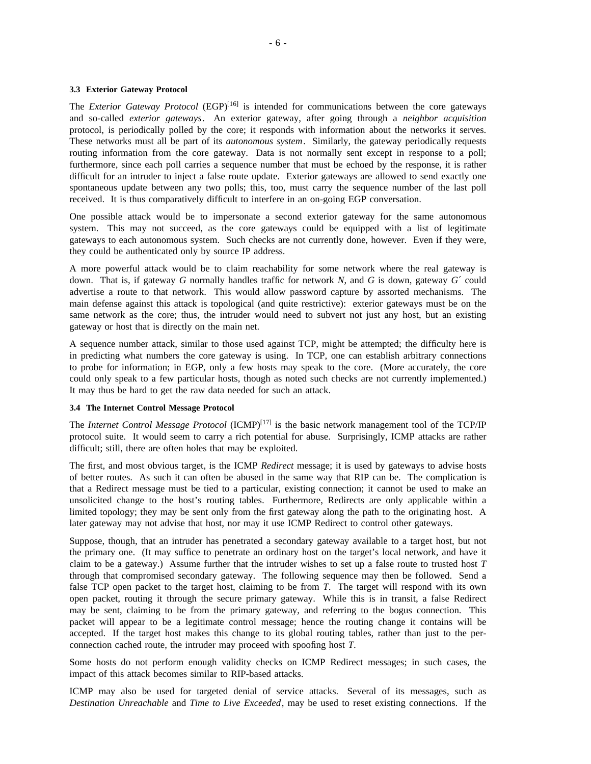## **3.3 Exterior Gateway Protocol**

The *Exterior Gateway Protocol* (EGP)<sup>[16]</sup> is intended for communications between the core gateways and so-called *exterior gateways*. An exterior gateway, after going through a *neighbor acquisition* protocol, is periodically polled by the core; it responds with information about the networks it serves. These networks must all be part of its *autonomous system*. Similarly, the gateway periodically requests routing information from the core gateway. Data is not normally sent except in response to a poll; furthermore, since each poll carries a sequence number that must be echoed by the response, it is rather difficult for an intruder to inject a false route update. Exterior gateways are allowed to send exactly one spontaneous update between any two polls; this, too, must carry the sequence number of the last poll received. It is thus comparatively difficult to interfere in an on-going EGP conversation.

One possible attack would be to impersonate a second exterior gateway for the same autonomous system. This may not succeed, as the core gateways could be equipped with a list of legitimate gateways to each autonomous system. Such checks are not currently done, however. Even if they were, they could be authenticated only by source IP address.

A more powerful attack would be to claim reachability for some network where the real gateway is down. That is, if gateway *G* normally handles traffic for network *N*, and *G* is down, gateway *G*′ could advertise a route to that network. This would allow password capture by assorted mechanisms. The main defense against this attack is topological (and quite restrictive): exterior gateways must be on the same network as the core; thus, the intruder would need to subvert not just any host, but an existing gateway or host that is directly on the main net.

A sequence number attack, similar to those used against TCP, might be attempted; the difficulty here is in predicting what numbers the core gateway is using. In TCP, one can establish arbitrary connections to probe for information; in EGP, only a few hosts may speak to the core. (More accurately, the core could only speak to a few particular hosts, though as noted such checks are not currently implemented.) It may thus be hard to get the raw data needed for such an attack.

## **3.4 The Internet Control Message Protocol**

The *Internet Control Message Protocol* (ICMP)<sup>[17]</sup> is the basic network management tool of the TCP/IP protocol suite. It would seem to carry a rich potential for abuse. Surprisingly, ICMP attacks are rather difficult; still, there are often holes that may be exploited.

The first, and most obvious target, is the ICMP *Redirect* message; it is used by gateways to advise hosts of better routes. As such it can often be abused in the same way that RIP can be. The complication is that a Redirect message must be tied to a particular, existing connection; it cannot be used to make an unsolicited change to the host's routing tables. Furthermore, Redirects are only applicable within a limited topology; they may be sent only from the first gateway along the path to the originating host. A later gateway may not advise that host, nor may it use ICMP Redirect to control other gateways.

Suppose, though, that an intruder has penetrated a secondary gateway available to a target host, but not the primary one. (It may suffice to penetrate an ordinary host on the target's local network, and have it claim to be a gateway.) Assume further that the intruder wishes to set up a false route to trusted host *T* through that compromised secondary gateway. The following sequence may then be followed. Send a false TCP open packet to the target host, claiming to be from *T*. The target will respond with its own open packet, routing it through the secure primary gateway. While this is in transit, a false Redirect may be sent, claiming to be from the primary gateway, and referring to the bogus connection. This packet will appear to be a legitimate control message; hence the routing change it contains will be accepted. If the target host makes this change to its global routing tables, rather than just to the perconnection cached route, the intruder may proceed with spoofing host *T*.

Some hosts do not perform enough validity checks on ICMP Redirect messages; in such cases, the impact of this attack becomes similar to RIP-based attacks.

ICMP may also be used for targeted denial of service attacks. Several of its messages, such as *Destination Unreachable* and *Time to Live Exceeded*, may be used to reset existing connections. If the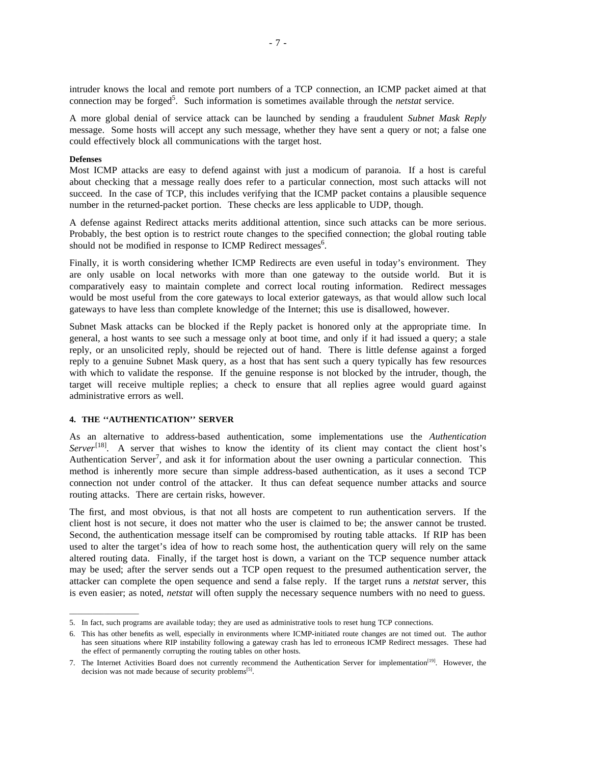intruder knows the local and remote port numbers of a TCP connection, an ICMP packet aimed at that connection may be forged<sup>5</sup>. Such information is sometimes available through the *netstat* service.

A more global denial of service attack can be launched by sending a fraudulent *Subnet Mask Reply* message. Some hosts will accept any such message, whether they have sent a query or not; a false one could effectively block all communications with the target host.

## **Defenses**

Most ICMP attacks are easy to defend against with just a modicum of paranoia. If a host is careful about checking that a message really does refer to a particular connection, most such attacks will not succeed. In the case of TCP, this includes verifying that the ICMP packet contains a plausible sequence number in the returned-packet portion. These checks are less applicable to UDP, though.

A defense against Redirect attacks merits additional attention, since such attacks can be more serious. Probably, the best option is to restrict route changes to the specified connection; the global routing table should not be modified in response to ICMP Redirect messages<sup>6</sup>.

Finally, it is worth considering whether ICMP Redirects are even useful in today's environment. They are only usable on local networks with more than one gateway to the outside world. But it is comparatively easy to maintain complete and correct local routing information. Redirect messages would be most useful from the core gateways to local exterior gateways, as that would allow such local gateways to have less than complete knowledge of the Internet; this use is disallowed, however.

Subnet Mask attacks can be blocked if the Reply packet is honored only at the appropriate time. In general, a host wants to see such a message only at boot time, and only if it had issued a query; a stale reply, or an unsolicited reply, should be rejected out of hand. There is little defense against a forged reply to a genuine Subnet Mask query, as a host that has sent such a query typically has few resources with which to validate the response. If the genuine response is not blocked by the intruder, though, the target will receive multiple replies; a check to ensure that all replies agree would guard against administrative errors as well.

## **4. THE ''AUTHENTICATION'' SERVER**

 $\_$ 

As an alternative to address-based authentication, some implementations use the *Authentication Server*[18]. A server that wishes to know the identity of its client may contact the client host's Authentication Server<sup>7</sup>, and ask it for information about the user owning a particular connection. This method is inherently more secure than simple address-based authentication, as it uses a second TCP connection not under control of the attacker. It thus can defeat sequence number attacks and source routing attacks. There are certain risks, however.

The first, and most obvious, is that not all hosts are competent to run authentication servers. If the client host is not secure, it does not matter who the user is claimed to be; the answer cannot be trusted. Second, the authentication message itself can be compromised by routing table attacks. If RIP has been used to alter the target's idea of how to reach some host, the authentication query will rely on the same altered routing data. Finally, if the target host is down, a variant on the TCP sequence number attack may be used; after the server sends out a TCP open request to the presumed authentication server, the attacker can complete the open sequence and send a false reply. If the target runs a *netstat* server, this is even easier; as noted, *netstat* will often supply the necessary sequence numbers with no need to guess.

<sup>5.</sup> In fact, such programs are available today; they are used as administrative tools to reset hung TCP connections.

<sup>6.</sup> This has other benefits as well, especially in environments where ICMP-initiated route changes are not timed out. The author has seen situations where RIP instability following a gateway crash has led to erroneous ICMP Redirect messages. These had the effect of permanently corrupting the routing tables on other hosts.

<sup>7.</sup> The Internet Activities Board does not currently recommend the Authentication Server for implementation[19]. However, the decision was not made because of security problems<sup>[5]</sup>.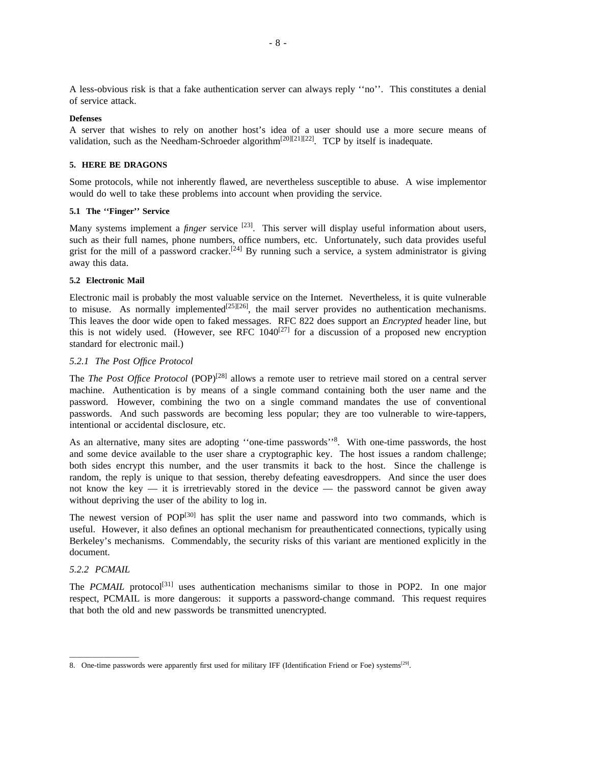A less-obvious risk is that a fake authentication server can always reply ''no''. This constitutes a denial of service attack.

#### **Defenses**

A server that wishes to rely on another host's idea of a user should use a more secure means of validation, such as the Needham-Schroeder algorithm<sup>[20][21][22]</sup>. TCP by itself is inadequate.

## **5. HERE BE DRAGONS**

Some protocols, while not inherently flawed, are nevertheless susceptible to abuse. A wise implementor would do well to take these problems into account when providing the service.

## **5.1 The ''Finger'' Service**

Many systems implement a *finger* service <sup>[23]</sup>. This server will display useful information about users, such as their full names, phone numbers, office numbers, etc. Unfortunately, such data provides useful grist for the mill of a password cracker.<sup>[24]</sup> By running such a service, a system administrator is giving away this data.

## **5.2 Electronic Mail**

Electronic mail is probably the most valuable service on the Internet. Nevertheless, it is quite vulnerable to misuse. As normally implemented $\frac{[25][26]}{]}$ , the mail server provides no authentication mechanisms. This leaves the door wide open to faked messages. RFC 822 does support an *Encrypted* header line, but this is not widely used. (However, see RFC  $1040^{[27]}$  for a discussion of a proposed new encryption standard for electronic mail.)

#### *5.2.1 The Post Office Protocol*

The *The Post Office Protocol* (POP)<sup>[28]</sup> allows a remote user to retrieve mail stored on a central server machine. Authentication is by means of a single command containing both the user name and the password. However, combining the two on a single command mandates the use of conventional passwords. And such passwords are becoming less popular; they are too vulnerable to wire-tappers, intentional or accidental disclosure, etc.

As an alternative, many sites are adopting "one-time passwords"<sup>8</sup>. With one-time passwords, the host and some device available to the user share a cryptographic key. The host issues a random challenge; both sides encrypt this number, and the user transmits it back to the host. Since the challenge is random, the reply is unique to that session, thereby defeating eavesdroppers. And since the user does not know the key — it is irretrievably stored in the device — the password cannot be given away without depriving the user of the ability to log in.

The newest version of POP<sup>[30]</sup> has split the user name and password into two commands, which is useful. However, it also defines an optional mechanism for preauthenticated connections, typically using Berkeley's mechanisms. Commendably, the security risks of this variant are mentioned explicitly in the document.

#### *5.2.2 PCMAIL*

 $\_$ 

The *PCMAIL* protocol<sup>[31]</sup> uses authentication mechanisms similar to those in POP2. In one major respect, PCMAIL is more dangerous: it supports a password-change command. This request requires that both the old and new passwords be transmitted unencrypted.

<sup>8.</sup> One-time passwords were apparently first used for military IFF (Identification Friend or Foe) systems[29].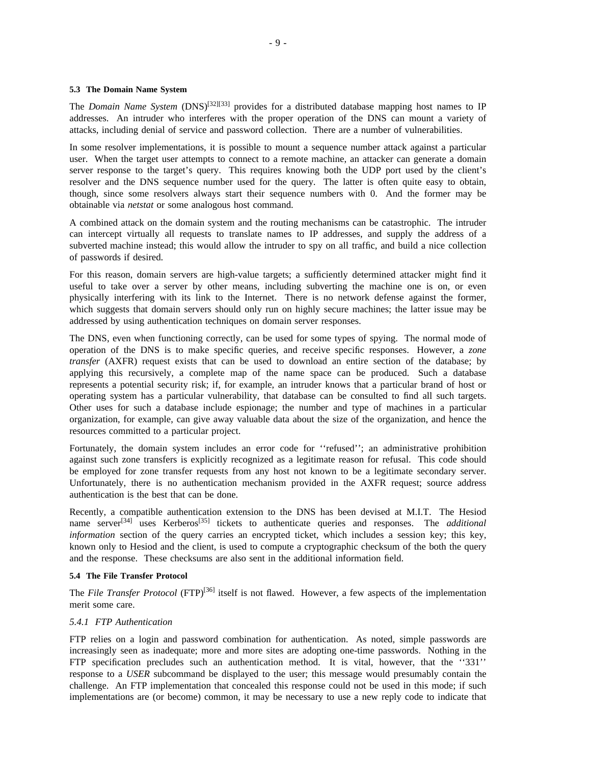## **5.3 The Domain Name System**

The *Domain Name System* (DNS)<sup>[32][33]</sup> provides for a distributed database mapping host names to IP addresses. An intruder who interferes with the proper operation of the DNS can mount a variety of attacks, including denial of service and password collection. There are a number of vulnerabilities.

In some resolver implementations, it is possible to mount a sequence number attack against a particular user. When the target user attempts to connect to a remote machine, an attacker can generate a domain server response to the target's query. This requires knowing both the UDP port used by the client's resolver and the DNS sequence number used for the query. The latter is often quite easy to obtain, though, since some resolvers always start their sequence numbers with 0. And the former may be obtainable via *netstat* or some analogous host command.

A combined attack on the domain system and the routing mechanisms can be catastrophic. The intruder can intercept virtually all requests to translate names to IP addresses, and supply the address of a subverted machine instead; this would allow the intruder to spy on all traffic, and build a nice collection of passwords if desired.

For this reason, domain servers are high-value targets; a sufficiently determined attacker might find it useful to take over a server by other means, including subverting the machine one is on, or even physically interfering with its link to the Internet. There is no network defense against the former, which suggests that domain servers should only run on highly secure machines; the latter issue may be addressed by using authentication techniques on domain server responses.

The DNS, even when functioning correctly, can be used for some types of spying. The normal mode of operation of the DNS is to make specific queries, and receive specific responses. However, a *zone transfer* (AXFR) request exists that can be used to download an entire section of the database; by applying this recursively, a complete map of the name space can be produced. Such a database represents a potential security risk; if, for example, an intruder knows that a particular brand of host or operating system has a particular vulnerability, that database can be consulted to find all such targets. Other uses for such a database include espionage; the number and type of machines in a particular organization, for example, can give away valuable data about the size of the organization, and hence the resources committed to a particular project.

Fortunately, the domain system includes an error code for ''refused''; an administrative prohibition against such zone transfers is explicitly recognized as a legitimate reason for refusal. This code should be employed for zone transfer requests from any host not known to be a legitimate secondary server. Unfortunately, there is no authentication mechanism provided in the AXFR request; source address authentication is the best that can be done.

Recently, a compatible authentication extension to the DNS has been devised at M.I.T. The Hesiod name server[34] uses Kerberos[35] tickets to authenticate queries and responses. The *additional information* section of the query carries an encrypted ticket, which includes a session key; this key, known only to Hesiod and the client, is used to compute a cryptographic checksum of the both the query and the response. These checksums are also sent in the additional information field.

### **5.4 The File Transfer Protocol**

The *File Transfer Protocol* (FTP)<sup>[36]</sup> itself is not flawed. However, a few aspects of the implementation merit some care.

## *5.4.1 FTP Authentication*

FTP relies on a login and password combination for authentication. As noted, simple passwords are increasingly seen as inadequate; more and more sites are adopting one-time passwords. Nothing in the FTP specification precludes such an authentication method. It is vital, however, that the ''331'' response to a *USER* subcommand be displayed to the user; this message would presumably contain the challenge. An FTP implementation that concealed this response could not be used in this mode; if such implementations are (or become) common, it may be necessary to use a new reply code to indicate that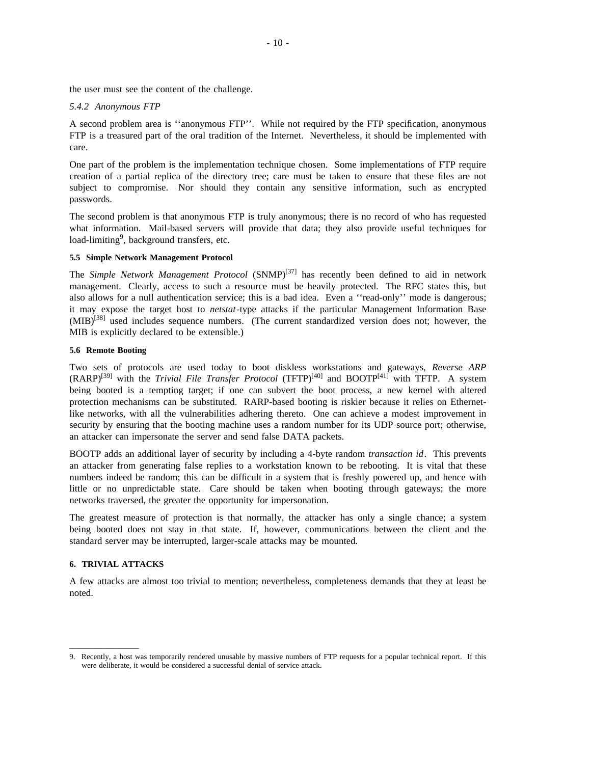the user must see the content of the challenge.

## *5.4.2 Anonymous FTP*

A second problem area is ''anonymous FTP''. While not required by the FTP specification, anonymous FTP is a treasured part of the oral tradition of the Internet. Nevertheless, it should be implemented with care.

One part of the problem is the implementation technique chosen. Some implementations of FTP require creation of a partial replica of the directory tree; care must be taken to ensure that these files are not subject to compromise. Nor should they contain any sensitive information, such as encrypted passwords.

The second problem is that anonymous FTP is truly anonymous; there is no record of who has requested what information. Mail-based servers will provide that data; they also provide useful techniques for load-limiting<sup>9</sup>, background transfers, etc.

## **5.5 Simple Network Management Protocol**

The *Simple Network Management Protocol* (SNMP)<sup>[37]</sup> has recently been defined to aid in network management. Clearly, access to such a resource must be heavily protected. The RFC states this, but also allows for a null authentication service; this is a bad idea. Even a ''read-only'' mode is dangerous; it may expose the target host to *netstat*-type attacks if the particular Management Information Base  $(MIB)^{[38]}$  used includes sequence numbers. (The current standardized version does not; however, the MIB is explicitly declared to be extensible.)

## **5.6 Remote Booting**

Two sets of protocols are used today to boot diskless workstations and gateways, *Reverse ARP* (RARP)[39] with the *Trivial File Transfer Protocol* (TFTP)[40] and BOOTP[41] with TFTP. A system being booted is a tempting target; if one can subvert the boot process, a new kernel with altered protection mechanisms can be substituted. RARP-based booting is riskier because it relies on Ethernetlike networks, with all the vulnerabilities adhering thereto. One can achieve a modest improvement in security by ensuring that the booting machine uses a random number for its UDP source port; otherwise, an attacker can impersonate the server and send false DATA packets.

BOOTP adds an additional layer of security by including a 4-byte random *transaction id*. This prevents an attacker from generating false replies to a workstation known to be rebooting. It is vital that these numbers indeed be random; this can be difficult in a system that is freshly powered up, and hence with little or no unpredictable state. Care should be taken when booting through gateways; the more networks traversed, the greater the opportunity for impersonation.

The greatest measure of protection is that normally, the attacker has only a single chance; a system being booted does not stay in that state. If, however, communications between the client and the standard server may be interrupted, larger-scale attacks may be mounted.

## **6. TRIVIAL ATTACKS**

 $\_$ 

A few attacks are almost too trivial to mention; nevertheless, completeness demands that they at least be noted.

<sup>9.</sup> Recently, a host was temporarily rendered unusable by massive numbers of FTP requests for a popular technical report. If this were deliberate, it would be considered a successful denial of service attack.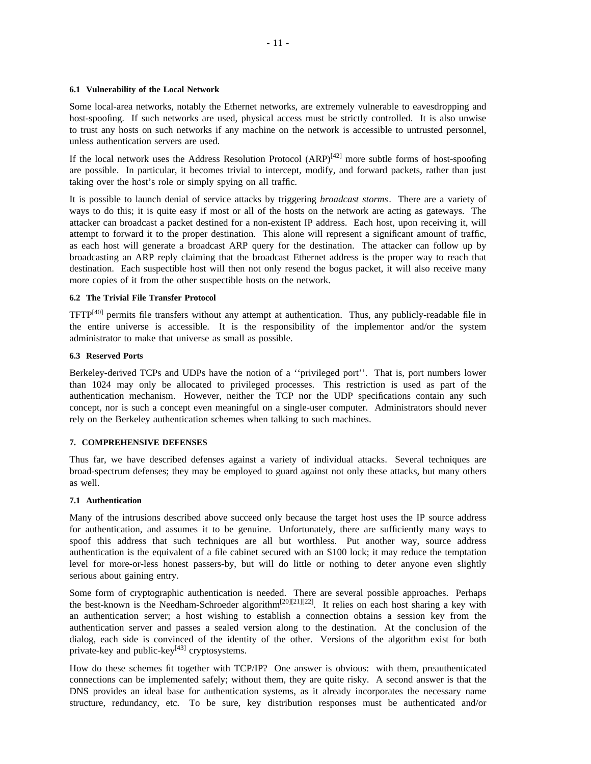Some local-area networks, notably the Ethernet networks, are extremely vulnerable to eavesdropping and host-spoofing. If such networks are used, physical access must be strictly controlled. It is also unwise to trust any hosts on such networks if any machine on the network is accessible to untrusted personnel, unless authentication servers are used.

If the local network uses the Address Resolution Protocol  $(ARP)^{[42]}$  more subtle forms of host-spoofing are possible. In particular, it becomes trivial to intercept, modify, and forward packets, rather than just taking over the host's role or simply spying on all traffic.

It is possible to launch denial of service attacks by triggering *broadcast storms*. There are a variety of ways to do this; it is quite easy if most or all of the hosts on the network are acting as gateways. The attacker can broadcast a packet destined for a non-existent IP address. Each host, upon receiving it, will attempt to forward it to the proper destination. This alone will represent a significant amount of traffic, as each host will generate a broadcast ARP query for the destination. The attacker can follow up by broadcasting an ARP reply claiming that the broadcast Ethernet address is the proper way to reach that destination. Each suspectible host will then not only resend the bogus packet, it will also receive many more copies of it from the other suspectible hosts on the network.

## **6.2 The Trivial File Transfer Protocol**

TFTP[40] permits file transfers without any attempt at authentication. Thus, any publicly-readable file in the entire universe is accessible. It is the responsibility of the implementor and/or the system administrator to make that universe as small as possible.

## **6.3 Reserved Ports**

Berkeley-derived TCPs and UDPs have the notion of a ''privileged port''. That is, port numbers lower than 1024 may only be allocated to privileged processes. This restriction is used as part of the authentication mechanism. However, neither the TCP nor the UDP specifications contain any such concept, nor is such a concept even meaningful on a single-user computer. Administrators should never rely on the Berkeley authentication schemes when talking to such machines.

#### **7. COMPREHENSIVE DEFENSES**

Thus far, we have described defenses against a variety of individual attacks. Several techniques are broad-spectrum defenses; they may be employed to guard against not only these attacks, but many others as well.

## **7.1 Authentication**

Many of the intrusions described above succeed only because the target host uses the IP source address for authentication, and assumes it to be genuine. Unfortunately, there are sufficiently many ways to spoof this address that such techniques are all but worthless. Put another way, source address authentication is the equivalent of a file cabinet secured with an S100 lock; it may reduce the temptation level for more-or-less honest passers-by, but will do little or nothing to deter anyone even slightly serious about gaining entry.

Some form of cryptographic authentication is needed. There are several possible approaches. Perhaps the best-known is the Needham-Schroeder algorithm<sup>[20][21][22]</sup>. It relies on each host sharing a key with an authentication server; a host wishing to establish a connection obtains a session key from the authentication server and passes a sealed version along to the destination. At the conclusion of the dialog, each side is convinced of the identity of the other. Versions of the algorithm exist for both private-key and public-key<sup>[43]</sup> cryptosystems.

How do these schemes fit together with TCP/IP? One answer is obvious: with them, preauthenticated connections can be implemented safely; without them, they are quite risky. A second answer is that the DNS provides an ideal base for authentication systems, as it already incorporates the necessary name structure, redundancy, etc. To be sure, key distribution responses must be authenticated and/or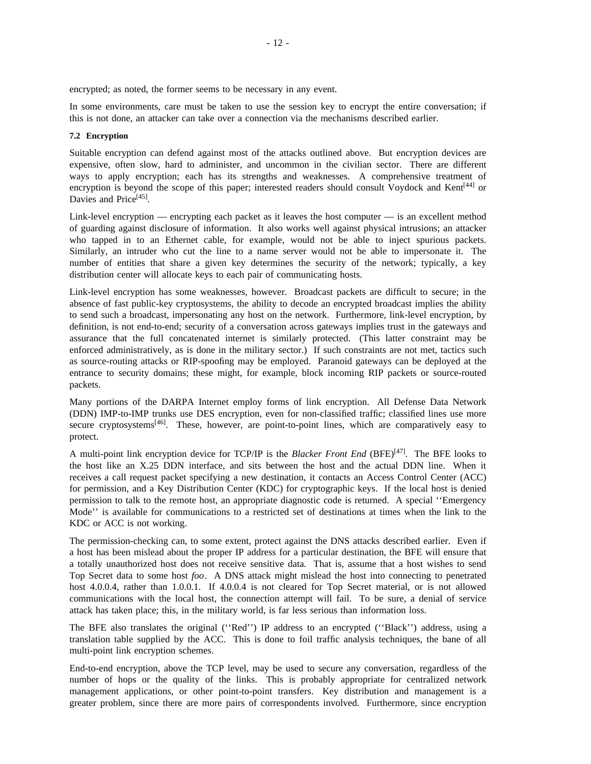encrypted; as noted, the former seems to be necessary in any event.

In some environments, care must be taken to use the session key to encrypt the entire conversation; if this is not done, an attacker can take over a connection via the mechanisms described earlier.

## **7.2 Encryption**

Suitable encryption can defend against most of the attacks outlined above. But encryption devices are expensive, often slow, hard to administer, and uncommon in the civilian sector. There are different ways to apply encryption; each has its strengths and weaknesses. A comprehensive treatment of encryption is beyond the scope of this paper; interested readers should consult Voydock and Kent<sup>[44]</sup> or Davies and Price<sup>[45]</sup>.

Link-level encryption — encrypting each packet as it leaves the host computer — is an excellent method of guarding against disclosure of information. It also works well against physical intrusions; an attacker who tapped in to an Ethernet cable, for example, would not be able to inject spurious packets. Similarly, an intruder who cut the line to a name server would not be able to impersonate it. The number of entities that share a given key determines the security of the network; typically, a key distribution center will allocate keys to each pair of communicating hosts.

Link-level encryption has some weaknesses, however. Broadcast packets are difficult to secure; in the absence of fast public-key cryptosystems, the ability to decode an encrypted broadcast implies the ability to send such a broadcast, impersonating any host on the network. Furthermore, link-level encryption, by definition, is not end-to-end; security of a conversation across gateways implies trust in the gateways and assurance that the full concatenated internet is similarly protected. (This latter constraint may be enforced administratively, as is done in the military sector.) If such constraints are not met, tactics such as source-routing attacks or RIP-spoofing may be employed. Paranoid gateways can be deployed at the entrance to security domains; these might, for example, block incoming RIP packets or source-routed packets.

Many portions of the DARPA Internet employ forms of link encryption. All Defense Data Network (DDN) IMP-to-IMP trunks use DES encryption, even for non-classified traffic; classified lines use more secure cryptosystems<sup>[46]</sup>. These, however, are point-to-point lines, which are comparatively easy to protect.

A multi-point link encryption device for TCP/IP is the *Blacker Front End* (BFE)[47]. The BFE looks to the host like an X.25 DDN interface, and sits between the host and the actual DDN line. When it receives a call request packet specifying a new destination, it contacts an Access Control Center (ACC) for permission, and a Key Distribution Center (KDC) for cryptographic keys. If the local host is denied permission to talk to the remote host, an appropriate diagnostic code is returned. A special ''Emergency Mode'' is available for communications to a restricted set of destinations at times when the link to the KDC or ACC is not working.

The permission-checking can, to some extent, protect against the DNS attacks described earlier. Even if a host has been mislead about the proper IP address for a particular destination, the BFE will ensure that a totally unauthorized host does not receive sensitive data. That is, assume that a host wishes to send Top Secret data to some host *foo*. A DNS attack might mislead the host into connecting to penetrated host 4.0.0.4, rather than 1.0.0.1. If 4.0.0.4 is not cleared for Top Secret material, or is not allowed communications with the local host, the connection attempt will fail. To be sure, a denial of service attack has taken place; this, in the military world, is far less serious than information loss.

The BFE also translates the original (''Red'') IP address to an encrypted (''Black'') address, using a translation table supplied by the ACC. This is done to foil traffic analysis techniques, the bane of all multi-point link encryption schemes.

End-to-end encryption, above the TCP level, may be used to secure any conversation, regardless of the number of hops or the quality of the links. This is probably appropriate for centralized network management applications, or other point-to-point transfers. Key distribution and management is a greater problem, since there are more pairs of correspondents involved. Furthermore, since encryption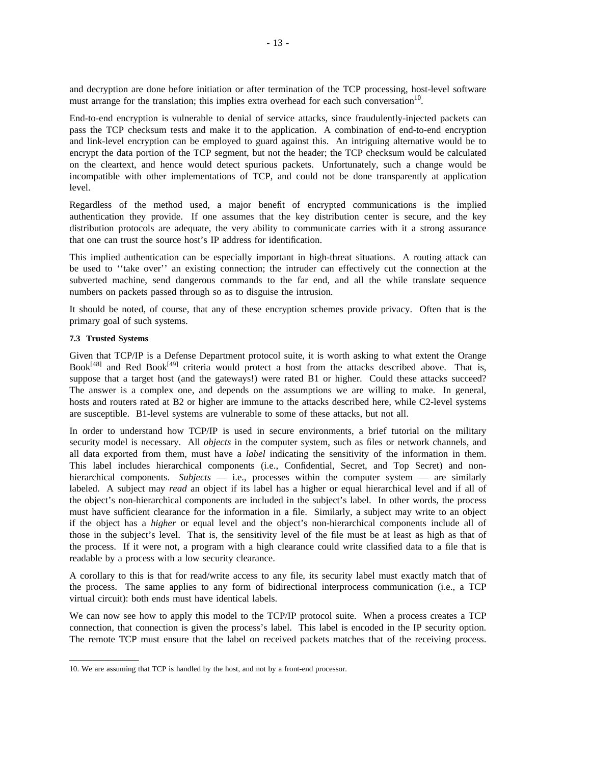and decryption are done before initiation or after termination of the TCP processing, host-level software must arrange for the translation; this implies extra overhead for each such conversation<sup>10</sup>.

End-to-end encryption is vulnerable to denial of service attacks, since fraudulently-injected packets can pass the TCP checksum tests and make it to the application. A combination of end-to-end encryption and link-level encryption can be employed to guard against this. An intriguing alternative would be to encrypt the data portion of the TCP segment, but not the header; the TCP checksum would be calculated on the cleartext, and hence would detect spurious packets. Unfortunately, such a change would be incompatible with other implementations of TCP, and could not be done transparently at application level.

Regardless of the method used, a major benefit of encrypted communications is the implied authentication they provide. If one assumes that the key distribution center is secure, and the key distribution protocols are adequate, the very ability to communicate carries with it a strong assurance that one can trust the source host's IP address for identification.

This implied authentication can be especially important in high-threat situations. A routing attack can be used to ''take over'' an existing connection; the intruder can effectively cut the connection at the subverted machine, send dangerous commands to the far end, and all the while translate sequence numbers on packets passed through so as to disguise the intrusion.

It should be noted, of course, that any of these encryption schemes provide privacy. Often that is the primary goal of such systems.

## **7.3 Trusted Systems**

 $\_$ 

Given that TCP/IP is a Defense Department protocol suite, it is worth asking to what extent the Orange  $Book^{[48]}$  and Red Book<sup>[49]</sup> criteria would protect a host from the attacks described above. That is, suppose that a target host (and the gateways!) were rated B1 or higher. Could these attacks succeed? The answer is a complex one, and depends on the assumptions we are willing to make. In general, hosts and routers rated at B2 or higher are immune to the attacks described here, while C2-level systems are susceptible. B1-level systems are vulnerable to some of these attacks, but not all.

In order to understand how TCP/IP is used in secure environments, a brief tutorial on the military security model is necessary. All *objects* in the computer system, such as files or network channels, and all data exported from them, must have a *label* indicating the sensitivity of the information in them. This label includes hierarchical components (i.e., Confidential, Secret, and Top Secret) and nonhierarchical components. *Subjects* — i.e., processes within the computer system — are similarly labeled. A subject may *read* an object if its label has a higher or equal hierarchical level and if all of the object's non-hierarchical components are included in the subject's label. In other words, the process must have sufficient clearance for the information in a file. Similarly, a subject may write to an object if the object has a *higher* or equal level and the object's non-hierarchical components include all of those in the subject's level. That is, the sensitivity level of the file must be at least as high as that of the process. If it were not, a program with a high clearance could write classified data to a file that is readable by a process with a low security clearance.

A corollary to this is that for read/write access to any file, its security label must exactly match that of the process. The same applies to any form of bidirectional interprocess communication (i.e., a TCP virtual circuit): both ends must have identical labels.

We can now see how to apply this model to the TCP/IP protocol suite. When a process creates a TCP connection, that connection is given the process's label. This label is encoded in the IP security option. The remote TCP must ensure that the label on received packets matches that of the receiving process.

<sup>10.</sup> We are assuming that TCP is handled by the host, and not by a front-end processor.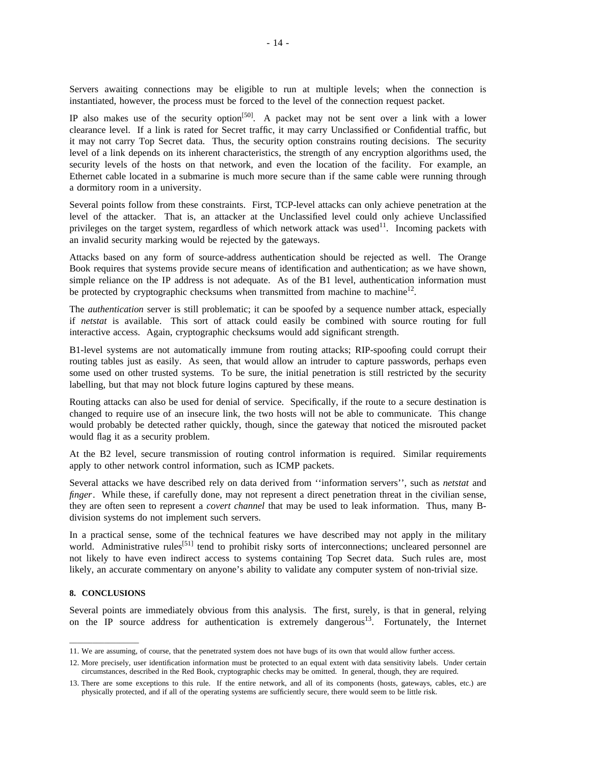Servers awaiting connections may be eligible to run at multiple levels; when the connection is instantiated, however, the process must be forced to the level of the connection request packet.

IP also makes use of the security option<sup>[50]</sup>. A packet may not be sent over a link with a lower clearance level. If a link is rated for Secret traffic, it may carry Unclassified or Confidential traffic, but it may not carry Top Secret data. Thus, the security option constrains routing decisions. The security level of a link depends on its inherent characteristics, the strength of any encryption algorithms used, the security levels of the hosts on that network, and even the location of the facility. For example, an Ethernet cable located in a submarine is much more secure than if the same cable were running through a dormitory room in a university.

Several points follow from these constraints. First, TCP-level attacks can only achieve penetration at the level of the attacker. That is, an attacker at the Unclassified level could only achieve Unclassified privileges on the target system, regardless of which network attack was used<sup>11</sup>. Incoming packets with an invalid security marking would be rejected by the gateways.

Attacks based on any form of source-address authentication should be rejected as well. The Orange Book requires that systems provide secure means of identification and authentication; as we have shown, simple reliance on the IP address is not adequate. As of the B1 level, authentication information must be protected by cryptographic checksums when transmitted from machine to machine<sup>12</sup>.

The *authentication* server is still problematic; it can be spoofed by a sequence number attack, especially if *netstat* is available. This sort of attack could easily be combined with source routing for full interactive access. Again, cryptographic checksums would add significant strength.

B1-level systems are not automatically immune from routing attacks; RIP-spoofing could corrupt their routing tables just as easily. As seen, that would allow an intruder to capture passwords, perhaps even some used on other trusted systems. To be sure, the initial penetration is still restricted by the security labelling, but that may not block future logins captured by these means.

Routing attacks can also be used for denial of service. Specifically, if the route to a secure destination is changed to require use of an insecure link, the two hosts will not be able to communicate. This change would probably be detected rather quickly, though, since the gateway that noticed the misrouted packet would flag it as a security problem.

At the B2 level, secure transmission of routing control information is required. Similar requirements apply to other network control information, such as ICMP packets.

Several attacks we have described rely on data derived from ''information servers'', such as *netstat* and *finger*. While these, if carefully done, may not represent a direct penetration threat in the civilian sense, they are often seen to represent a *covert channel* that may be used to leak information. Thus, many Bdivision systems do not implement such servers.

In a practical sense, some of the technical features we have described may not apply in the military world. Administrative rules<sup>[51]</sup> tend to prohibit risky sorts of interconnections; uncleared personnel are not likely to have even indirect access to systems containing Top Secret data. Such rules are, most likely, an accurate commentary on anyone's ability to validate any computer system of non-trivial size.

## **8. CONCLUSIONS**

 $\_$ 

Several points are immediately obvious from this analysis. The first, surely, is that in general, relying on the IP source address for authentication is extremely dangerous<sup>13</sup>. Fortunately, the Internet

<sup>11.</sup> We are assuming, of course, that the penetrated system does not have bugs of its own that would allow further access.

<sup>12.</sup> More precisely, user identification information must be protected to an equal extent with data sensitivity labels. Under certain circumstances, described in the Red Book, cryptographic checks may be omitted. In general, though, they are required.

<sup>13.</sup> There are some exceptions to this rule. If the entire network, and all of its components (hosts, gateways, cables, etc.) are physically protected, and if all of the operating systems are sufficiently secure, there would seem to be little risk.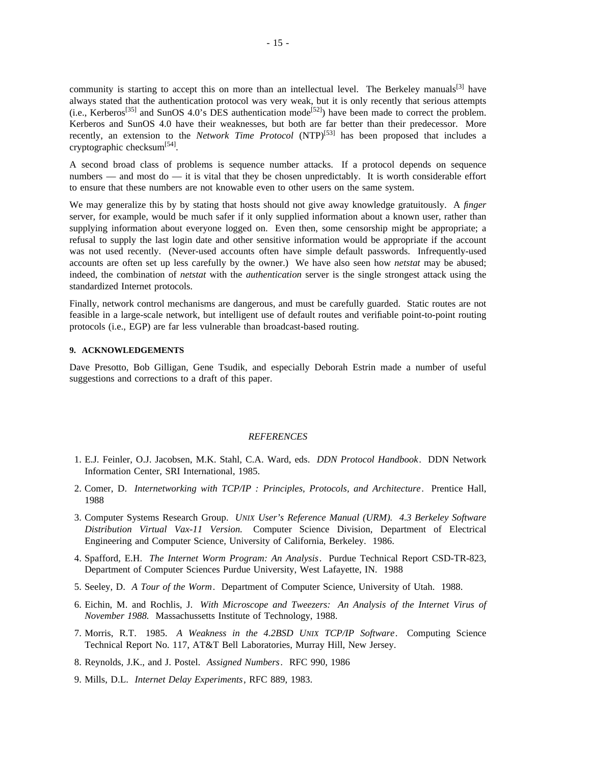community is starting to accept this on more than an intellectual level. The Berkeley manuals<sup>[3]</sup> have always stated that the authentication protocol was very weak, but it is only recently that serious attempts (i.e., Kerberos<sup>[35]</sup> and SunOS 4.0's DES authentication mode<sup>[52]</sup>) have been made to correct the problem. Kerberos and SunOS 4.0 have their weaknesses, but both are far better than their predecessor. More recently, an extension to the *Network Time Protocol* (NTP)<sup>[53]</sup> has been proposed that includes a cryptographic checksum[54].

A second broad class of problems is sequence number attacks. If a protocol depends on sequence numbers — and most do — it is vital that they be chosen unpredictably. It is worth considerable effort to ensure that these numbers are not knowable even to other users on the same system.

We may generalize this by by stating that hosts should not give away knowledge gratuitously. A *finger* server, for example, would be much safer if it only supplied information about a known user, rather than supplying information about everyone logged on. Even then, some censorship might be appropriate; a refusal to supply the last login date and other sensitive information would be appropriate if the account was not used recently. (Never-used accounts often have simple default passwords. Infrequently-used accounts are often set up less carefully by the owner.) We have also seen how *netstat* may be abused; indeed, the combination of *netstat* with the *authentication* server is the single strongest attack using the standardized Internet protocols.

Finally, network control mechanisms are dangerous, and must be carefully guarded. Static routes are not feasible in a large-scale network, but intelligent use of default routes and verifiable point-to-point routing protocols (i.e., EGP) are far less vulnerable than broadcast-based routing.

## **9. ACKNOWLEDGEMENTS**

Dave Presotto, Bob Gilligan, Gene Tsudik, and especially Deborah Estrin made a number of useful suggestions and corrections to a draft of this paper.

### *REFERENCES*

- 1. E.J. Feinler, O.J. Jacobsen, M.K. Stahl, C.A. Ward, eds. *DDN Protocol Handbook*. DDN Network Information Center, SRI International, 1985.
- 2. Comer, D. *Internetworking with TCP/IP : Principles, Protocols, and Architecture*. Prentice Hall, 1988
- 3. Computer Systems Research Group. *UNIX User's Reference Manual (URM). 4.3 Berkeley Software Distribution Virtual Vax-11 Version.* Computer Science Division, Department of Electrical Engineering and Computer Science, University of California, Berkeley. 1986.
- 4. Spafford, E.H. *The Internet Worm Program: An Analysis*. Purdue Technical Report CSD-TR-823, Department of Computer Sciences Purdue University, West Lafayette, IN. 1988
- 5. Seeley, D. *A Tour of the Worm*. Department of Computer Science, University of Utah. 1988.
- 6. Eichin, M. and Rochlis, J. *With Microscope and Tweezers: An Analysis of the Internet Virus of November 1988.* Massachussetts Institute of Technology, 1988.
- 7. Morris, R.T. 1985. *A Weakness in the 4.2BSD UNIX TCP/IP Software*. Computing Science Technical Report No. 117, AT&T Bell Laboratories, Murray Hill, New Jersey.
- 8. Reynolds, J.K., and J. Postel. *Assigned Numbers*. RFC 990, 1986
- 9. Mills, D.L. *Internet Delay Experiments*, RFC 889, 1983.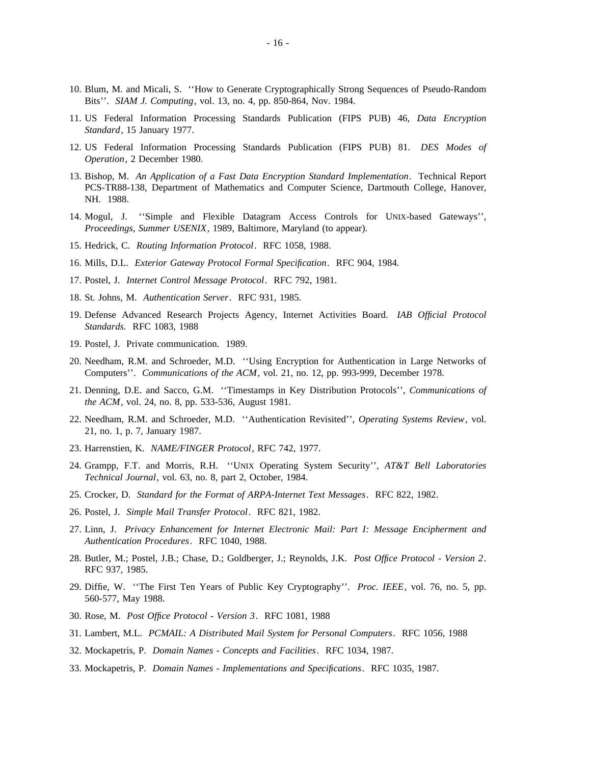- 10. Blum, M. and Micali, S. ''How to Generate Cryptographically Strong Sequences of Pseudo-Random Bits''. *SIAM J. Computing*, vol. 13, no. 4, pp. 850-864, Nov. 1984.
- 11. US Federal Information Processing Standards Publication (FIPS PUB) 46, *Data Encryption Standard*, 15 January 1977.
- 12. US Federal Information Processing Standards Publication (FIPS PUB) 81. *DES Modes of Operation*, 2 December 1980.
- 13. Bishop, M. *An Application of a Fast Data Encryption Standard Implementation*. Technical Report PCS-TR88-138, Department of Mathematics and Computer Science, Dartmouth College, Hanover, NH. 1988.
- 14. Mogul, J. ''Simple and Flexible Datagram Access Controls for UNIX-based Gateways'', *Proceedings, Summer USENIX*, 1989, Baltimore, Maryland (to appear).
- 15. Hedrick, C. *Routing Information Protocol*. RFC 1058, 1988.
- 16. Mills, D.L. *Exterior Gateway Protocol Formal Specification*. RFC 904, 1984.
- 17. Postel, J. *Internet Control Message Protocol*. RFC 792, 1981.
- 18. St. Johns, M. *Authentication Server*. RFC 931, 1985.
- 19. Defense Advanced Research Projects Agency, Internet Activities Board. *IAB Official Protocol Standards.* RFC 1083, 1988
- 19. Postel, J. Private communication. 1989.
- 20. Needham, R.M. and Schroeder, M.D. ''Using Encryption for Authentication in Large Networks of Computers''. *Communications of the ACM*, vol. 21, no. 12, pp. 993-999, December 1978.
- 21. Denning, D.E. and Sacco, G.M. ''Timestamps in Key Distribution Protocols'', *Communications of the ACM*, vol. 24, no. 8, pp. 533-536, August 1981.
- 22. Needham, R.M. and Schroeder, M.D. ''Authentication Revisited'', *Operating Systems Review*, vol. 21, no. 1, p. 7, January 1987.
- 23. Harrenstien, K. *NAME/FINGER Protocol*, RFC 742, 1977.
- 24. Grampp, F.T. and Morris, R.H. ''UNIX Operating System Security'', *AT&T Bell Laboratories Technical Journal*, vol. 63, no. 8, part 2, October, 1984.
- 25. Crocker, D. *Standard for the Format of ARPA-Internet Text Messages*. RFC 822, 1982.
- 26. Postel, J. *Simple Mail Transfer Protocol*. RFC 821, 1982.
- 27. Linn, J. *Privacy Enhancement for Internet Electronic Mail: Part I: Message Encipherment and Authentication Procedures*. RFC 1040, 1988.
- 28. Butler, M.; Postel, J.B.; Chase, D.; Goldberger, J.; Reynolds, J.K. *Post Office Protocol Version 2*. RFC 937, 1985.
- 29. Diffie, W. ''The First Ten Years of Public Key Cryptography''. *Proc. IEEE*, vol. 76, no. 5, pp. 560-577, May 1988.
- 30. Rose, M. *Post Office Protocol Version 3*. RFC 1081, 1988
- 31. Lambert, M.L. *PCMAIL: A Distributed Mail System for Personal Computers*. RFC 1056, 1988
- 32. Mockapetris, P. *Domain Names Concepts and Facilities*. RFC 1034, 1987.
- 33. Mockapetris, P. *Domain Names Implementations and Specifications*. RFC 1035, 1987.